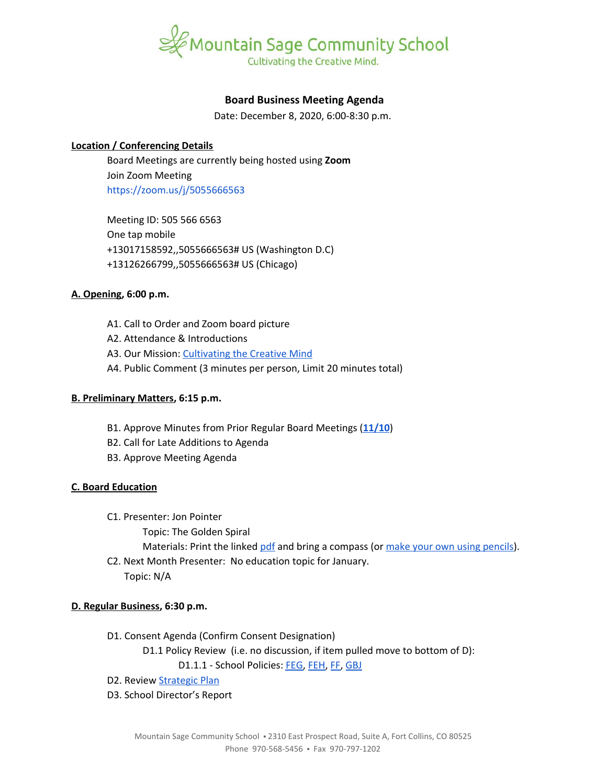

# **Board Business Meeting Agenda**

Date: December 8, 2020, 6:00-8:30 p.m.

## **Location / Conferencing Details**

Board Meetings are currently being hosted using **Zoom** Join Zoom Meeting <https://zoom.us/j/5055666563>

Meeting ID: 505 566 6563 One tap mobile +13017158592,,5055666563# US (Washington D.C) +13126266799,,5055666563# US (Chicago)

### **A. Opening, 6:00 p.m.**

- A1. Call to Order and Zoom board picture
- A2. Attendance & Introductions
- A3. Our Mission: [Cultivating](https://www.mountainsage.org/about-us/mission-and-vision/) the Creative Mind
- A4. Public Comment (3 minutes per person, Limit 20 minutes total)

### **B. Preliminary Matters, 6:15 p.m.**

- B1. Approve Minutes from Prior Regular Board Meetings (**[11/10](https://docs.google.com/document/d/1mC_vh1Sp9ka-ILar5rca7IMkkSKdbgLgUepFmm5Eq-M)**)
- B2. Call for Late Additions to Agenda
- B3. Approve Meeting Agenda

### **C. Board Education**

- C1. Presenter: Jon Pointer
	- Topic: The Golden Spiral

Materials: Print the linked [pdf](https://drive.google.com/file/d/1_la6NRwfaV0il9tPACckwRMhDD2wpIjN/view?usp=sharing) and bring a compass (or make your own using [pencils](https://youtu.be/LvpCX89lHvU?t=36)).

C2. Next Month Presenter: No education topic for January. Topic: N/A

### **D. Regular Business, 6:30 p.m.**

- D1. Consent Agenda (Confirm Consent Designation)
	- D1.1 Policy Review (i.e. no discussion, if item pulled move to bottom of D):
		- D1.1.1 School Policies: [FEG,](https://docs.google.com/document/d/16KsAgFybbQ34_MHxjsQUp8QXMuhMP0Hq1VwV2zTTDIc) [FEH](https://docs.google.com/document/d/1z-DZJGivIvEx3R5OBiI3HKAe2djMkUwX92mxzw0ManE), [FF,](https://drive.google.com/open?id=1wvhPpw1TIlT3BPkx0UeBEIe1-nm-28PfjHSB3lAQCmU) [GBJ](https://drive.google.com/open?id=1zBGL0j3BZn_8a9fgGaW4crvN8HBLy67ztJIEoGRNvtQ)
- D2. Review **[Strategic](https://docs.google.com/spreadsheets/d/1ZcsDhIjaJBoVOI2OMPaYkghgZi_yR7rn31ELgbvqf3E/view) Plan**
- D3. School Director's Report